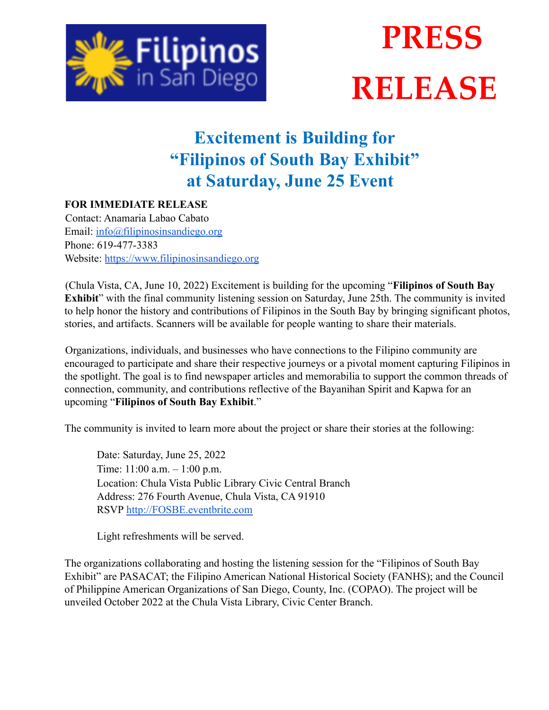

## **PRESS RELEASE**

## **Excitement is Building for "Filipinos of South Bay Exhibit" at Saturday, June 25 Event**

## **FOR IMMEDIATE RELEASE**

Contact: Anamaria Labao Cabato Email: info@filipinosinsandiego.org Phone: 619-477-3383 Website: https://www.filipinosinsandiego.org

(Chula Vista, CA, June 10, 2022) Excitement is building for the upcoming "**Filipinos of South Bay Exhibit**" with the final community listening session on Saturday, June 25th. The community is invited to help honor the history and contributions of Filipinos in the South Bay by bringing significant photos, stories, and artifacts. Scanners will be available for people wanting to share their materials.

Organizations, individuals, and businesses who have connections to the Filipino community are encouraged to participate and share their respective journeys or a pivotal moment capturing Filipinos in the spotlight. The goal is to find newspaper articles and memorabilia to support the common threads of connection, community, and contributions reflective of the Bayanihan Spirit and Kapwa for an upcoming "**Filipinos of South Bay Exhibit**."

The community is invited to learn more about the project or share their stories at the following:

Date: Saturday, June 25, 2022 Time: 11:00 a.m. – 1:00 p.m. Location: Chula Vista Public Library Civic Central Branch Address: 276 Fourth Avenue, Chula Vista, CA 91910 RSVP http://FOSBE.eventbrite.com

Light refreshments will be served.

The organizations collaborating and hosting the listening session for the "Filipinos of South Bay Exhibit" are PASACAT; the Filipino American National Historical Society (FANHS); and the Council of Philippine American Organizations of San Diego, County, Inc. (COPAO). The project will be unveiled October 2022 at the Chula Vista Library, Civic Center Branch.